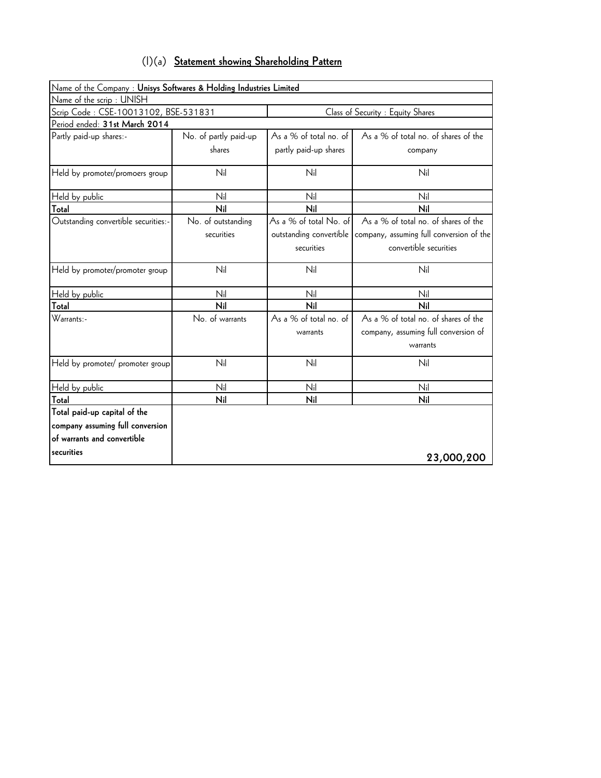| $(1)(a)$ Statement showing Shareholding Pattern |
|-------------------------------------------------|
|-------------------------------------------------|

| Name of the Company : Unisys Softwares & Holding Industries Limited |                       |                                   |                                          |  |  |
|---------------------------------------------------------------------|-----------------------|-----------------------------------|------------------------------------------|--|--|
| Name of the scrip: UNISH                                            |                       |                                   |                                          |  |  |
| Scrip Code: CSE-10013102, BSE-531831                                |                       | Class of Security : Equity Shares |                                          |  |  |
| Period ended: 31st March 2014                                       |                       |                                   |                                          |  |  |
| Partly paid-up shares:-                                             | No. of partly paid-up | As a % of total no. of            | As a % of total no. of shares of the     |  |  |
|                                                                     | shares                | partly paid-up shares             | company                                  |  |  |
| Held by promoter/promoers group                                     | Nil                   | Nil                               | Nil                                      |  |  |
| Held by public                                                      | Nil                   | Nil                               | Nil                                      |  |  |
| Total                                                               | Nil                   | Nil                               | Nil                                      |  |  |
| Outstanding convertible securities:-                                | No. of outstanding    | As a % of total No. of            | As a % of total no. of shares of the     |  |  |
|                                                                     | securities            | outstanding convertible           | company, assuming full conversion of the |  |  |
|                                                                     |                       | securities                        | convertible securities                   |  |  |
| Held by promoter/promoter group                                     | Nil                   | Nil                               | Nil                                      |  |  |
| Held by public                                                      | Nil                   | Nil                               | Nil                                      |  |  |
| Total                                                               | Nil                   | Nil                               | Nil                                      |  |  |
| Warrants:-                                                          | No. of warrants       | As a % of total no. of            | As a % of total no. of shares of the     |  |  |
|                                                                     |                       | warrants                          | company, assuming full conversion of     |  |  |
|                                                                     |                       |                                   | warrants                                 |  |  |
| Held by promoter/ promoter group                                    | Nil                   | Nil                               | Nil                                      |  |  |
| Held by public                                                      | Nil                   | Nil                               | Nil                                      |  |  |
| Total                                                               | Nil                   | Nil                               | Nil                                      |  |  |
| Total paid-up capital of the                                        |                       |                                   |                                          |  |  |
| company assuming full conversion                                    |                       |                                   |                                          |  |  |
| of warrants and convertible                                         |                       |                                   |                                          |  |  |
| securities                                                          |                       |                                   | 23,000,200                               |  |  |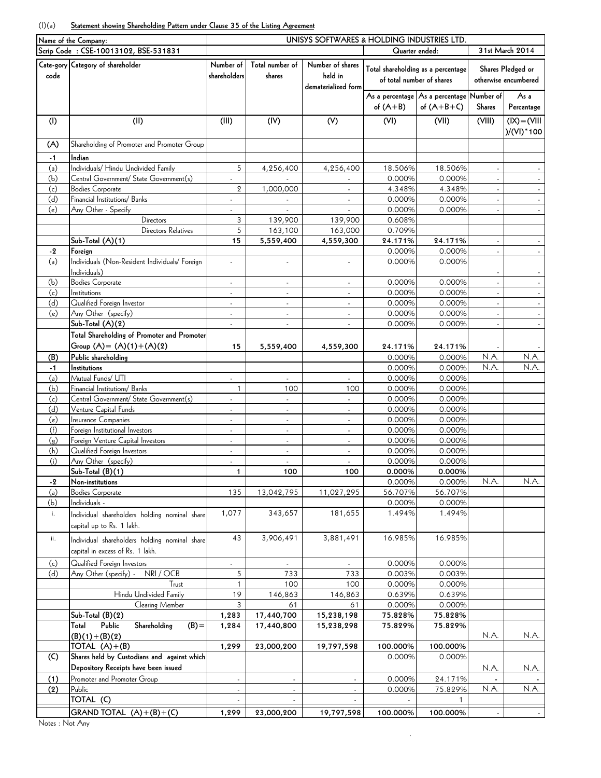## (I)(a) **Statement showing Shareholding Pattern under Clause 35 of the Listing Agreement**

| Name of the Company: |                                                | UNISYS SOFTWARES & HOLDING INDUSTRIES LTD. |                             |                             |                  |                                               |                 |                      |  |  |  |
|----------------------|------------------------------------------------|--------------------------------------------|-----------------------------|-----------------------------|------------------|-----------------------------------------------|-----------------|----------------------|--|--|--|
|                      | Scrip Code: CSE-10013102, BSE-531831           |                                            |                             |                             |                  | Quarter ended:                                | 31st March 2014 |                      |  |  |  |
|                      | Cate-gory Category of shareholder              | Number of                                  | Total number of             | Number of shares            |                  |                                               |                 |                      |  |  |  |
| code                 |                                                | shareholders                               | shares                      | held in                     |                  | Total shareholding as a percentage            |                 | Shares Pledged or    |  |  |  |
|                      |                                                |                                            |                             | dematerialized form         |                  | of total number of shares                     |                 | otherwise encumbered |  |  |  |
|                      |                                                |                                            |                             |                             |                  | As a percentage   As a percentage   Number of |                 | As a                 |  |  |  |
|                      |                                                |                                            |                             |                             | of $(A+B)$       | of $(A+B+C)$                                  | Shares          | Percentage           |  |  |  |
|                      |                                                |                                            |                             |                             |                  |                                               |                 |                      |  |  |  |
| (1)                  | (II)                                           | (III)                                      | (IV)                        | (V)                         | (VI)             | (VII)                                         | (VIII)          | $(IX) = (VIII)$      |  |  |  |
|                      |                                                |                                            |                             |                             |                  |                                               |                 | $)/(VI)^*100$        |  |  |  |
| (A)                  | Shareholding of Promoter and Promoter Group    |                                            |                             |                             |                  |                                               |                 |                      |  |  |  |
| $-1$                 | Indian                                         |                                            |                             |                             |                  |                                               |                 |                      |  |  |  |
| (a)                  | Individuals/ Hindu Undivided Family            | 5                                          | 4,256,400                   | 4,256,400                   | 18.506%          | 18.506%                                       |                 |                      |  |  |  |
| (b)                  | Central Government/ State Government(s)        |                                            |                             |                             | 0.000%           | 0.000%                                        |                 |                      |  |  |  |
| (c)                  | <b>Bodies Corporate</b>                        | $\mathbf 2$                                | 1,000,000                   | $\blacksquare$              | 4.348%           | 4.348%                                        |                 |                      |  |  |  |
| (d)                  | Financial Institutions/ Banks                  |                                            |                             |                             | 0.000%           | 0.000%                                        |                 |                      |  |  |  |
| (e)                  | Any Other - Specify                            |                                            |                             |                             | 0.000%           | 0.000%                                        |                 |                      |  |  |  |
|                      | Directors                                      | 3                                          | 139,900                     | 139,900                     | 0.608%           |                                               |                 |                      |  |  |  |
|                      | Directors Relatives                            | 5                                          | 163,100                     | 163,000                     | 0.709%           |                                               |                 |                      |  |  |  |
|                      | Sub-Total (A)(1)                               | 15                                         | 5,559,400                   | 4,559,300                   | 24.171%          | 24.171%                                       |                 |                      |  |  |  |
| $-2$                 | Foreign                                        |                                            |                             |                             | 0.000%           | 0.000%                                        |                 |                      |  |  |  |
| (a)                  | Individuals (Non-Resident Individuals/ Foreign |                                            |                             |                             | 0.000%           | 0.000%                                        |                 |                      |  |  |  |
|                      | Individuals)                                   |                                            |                             |                             |                  |                                               |                 |                      |  |  |  |
| (b)                  | <b>Bodies Corporate</b>                        | ÷.                                         | $\mathcal{L}_{\mathcal{A}}$ | $\mathcal{L}_{\mathcal{A}}$ | 0.000%           | 0.000%                                        |                 |                      |  |  |  |
| (c)                  | Institutions                                   | Ĭ.                                         | ä,                          | ä,                          | 0.000%           | 0.000%                                        |                 |                      |  |  |  |
| (d)                  | Qualified Foreign Investor                     | ÷,                                         | $\Box$                      | ÷,                          | 0.000%           | 0.000%                                        |                 | $\sim$               |  |  |  |
| (e)                  | Any Other (specify)                            | $\overline{\phantom{a}}$                   | $\blacksquare$              | $\blacksquare$              | 0.000%           | 0.000%                                        | $\blacksquare$  | $\sim$               |  |  |  |
|                      | Sub-Total $(A)(2)$                             | ÷,                                         | ä,                          | $\blacksquare$              | 0.000%           | 0.000%                                        |                 | $\omega$             |  |  |  |
|                      | Total Shareholding of Promoter and Promoter    |                                            |                             |                             |                  |                                               |                 |                      |  |  |  |
|                      | Group $(A) = (A)(1) + (A)(2)$                  | 15                                         | 5,559,400                   | 4,559,300                   | 24.171%          | 24.171%                                       |                 |                      |  |  |  |
| (B)                  | Public shareholding                            |                                            |                             |                             | 0.000%           | 0.000%                                        | N.A.            | N.A.                 |  |  |  |
| $-1$                 | Institutions                                   |                                            |                             |                             | 0.000%           | 0.000%                                        | N.A.            | N.A.                 |  |  |  |
| (a)                  | Mutual Funds/ UTI                              | ÷,                                         | ÷.                          | ÷,                          | 0.000%           | 0.000%                                        |                 |                      |  |  |  |
| (b)                  | Financial Institutions/ Banks                  | $\mathbf{1}$                               | 100                         | 100                         | 0.000%           | 0.000%                                        |                 |                      |  |  |  |
| (c)                  | Central Government/ State Government(s)        | Ĭ.                                         | ä,                          | ä,                          | 0.000%           | 0.000%                                        |                 |                      |  |  |  |
| (d)                  | Venture Capital Funds                          |                                            | L.                          | ÷,                          | 0.000%           | 0.000%                                        |                 |                      |  |  |  |
| (e)                  | <b>Insurance Companies</b>                     | $\overline{\phantom{a}}$                   | $\blacksquare$              | $\blacksquare$              | 0.000%           | 0.000%                                        |                 |                      |  |  |  |
| (f)                  | Foreign Institutional Investors                |                                            | ä,                          | $\blacksquare$              | 0.000%           | 0.000%                                        |                 |                      |  |  |  |
| (q)                  | Foreign Venture Capital Investors              | ä,                                         | ÷.                          | ä,                          | 0.000%           | 0.000%                                        |                 |                      |  |  |  |
| (h)                  | Qualified Foreign Investors                    | ÷,                                         | ä,                          | L,                          | 0.000%           | 0.000%                                        |                 |                      |  |  |  |
| (i)                  | Any Other (specify)                            | $\mathcal{L}_{\mathcal{A}}$                | $\omega$                    | ÷,                          | 0.000%           | 0.000%                                        |                 |                      |  |  |  |
|                      | $Sub-Total (B)(1)$                             | 1                                          | 100                         | 100                         | 0.000%           | 0.000%                                        |                 |                      |  |  |  |
| $-2$                 | Non-institutions                               |                                            |                             |                             | 0.000%           | 0.000%                                        | N.A.            | N.A.                 |  |  |  |
| (a)                  | <b>Bodies Corporate</b><br>Individuals -       | 135                                        | 13,042,795                  | 11,027,295                  | 56.707%          | 56.707%                                       |                 |                      |  |  |  |
| (b)                  |                                                |                                            | 343,657                     | 181,655                     | 0.000%<br>1.494% | 0.000%<br>1.494%                              |                 |                      |  |  |  |
| i.                   | Individual shareholders holding nominal share  | 1,077                                      |                             |                             |                  |                                               |                 |                      |  |  |  |
|                      | capital up to Rs. 1 lakh.                      |                                            |                             |                             |                  |                                               |                 |                      |  |  |  |
| ii.                  | Individual shareholders holding nominal share  | 43                                         | 3,906,491                   | 3,881,491                   | 16.985%          | 16.985%                                       |                 |                      |  |  |  |
|                      | capital in excess of Rs. 1 lakh.               |                                            |                             |                             |                  |                                               |                 |                      |  |  |  |
| (c)                  | Qualified Foreign Investors                    |                                            |                             |                             | 0.000%           | 0.000%                                        |                 |                      |  |  |  |
| (d)                  | NRI / OCB<br>Any Other (specify) -             | 5                                          | 733                         | 733                         | 0.003%           | 0.003%                                        |                 |                      |  |  |  |
|                      | Trust                                          | 1                                          | 100                         | 100                         | 0.000%           | 0.000%                                        |                 |                      |  |  |  |
|                      | Hindu Undivided Family                         | 19                                         | 146,863                     | 146,863                     | 0.639%           | 0.639%                                        |                 |                      |  |  |  |
|                      | Clearing Member                                | 3                                          | 61                          | 61                          | 0.000%           | 0.000%                                        |                 |                      |  |  |  |
|                      | Sub-Total (B)(2)                               | 1,283                                      | 17,440,700                  | 15,238,198                  | 75.828%          | 75.828%                                       |                 |                      |  |  |  |
|                      | Public<br>Shareholding<br>$(B) =$<br>Total     | 1,284                                      | 17,440,800                  | 15,238,298                  | 75.829%          | 75.829%                                       |                 |                      |  |  |  |
|                      | $(B)(1)+(B)(2)$                                |                                            |                             |                             |                  |                                               | N.A.            | N.A.                 |  |  |  |
|                      | TOTAL $(A)+(B)$                                | 1,299                                      | 23,000,200                  | 19,797,598                  | 100.000%         | 100.000%                                      |                 |                      |  |  |  |
| (C)                  | Shares held by Custodians and against which    |                                            |                             |                             | 0.000%           | 0.000%                                        |                 |                      |  |  |  |
|                      | Depository Receipts have been issued           |                                            |                             |                             |                  |                                               | N.A.            | N.A.                 |  |  |  |
| (1)                  | Promoter and Promoter Group                    | $\overline{\phantom{a}}$                   | $\overline{\phantom{a}}$    | $\blacksquare$              | 0.000%           | 24.171%                                       |                 |                      |  |  |  |
| (2)                  | Public                                         |                                            | $\mathcal{L}_{\mathcal{A}}$ |                             | 0.000%           | 75.829%                                       | N.A.            | N.A.                 |  |  |  |
|                      | TOTAL (C)                                      |                                            |                             |                             |                  |                                               |                 |                      |  |  |  |
|                      | $GRAND$ TOTAL $(A)+(B)+(C)$                    | 1,299                                      | 23,000,200                  | 19,797,598                  | 100.000%         | 100.000%                                      |                 |                      |  |  |  |
|                      |                                                |                                            |                             |                             |                  |                                               |                 |                      |  |  |  |

.

Notes : Not Any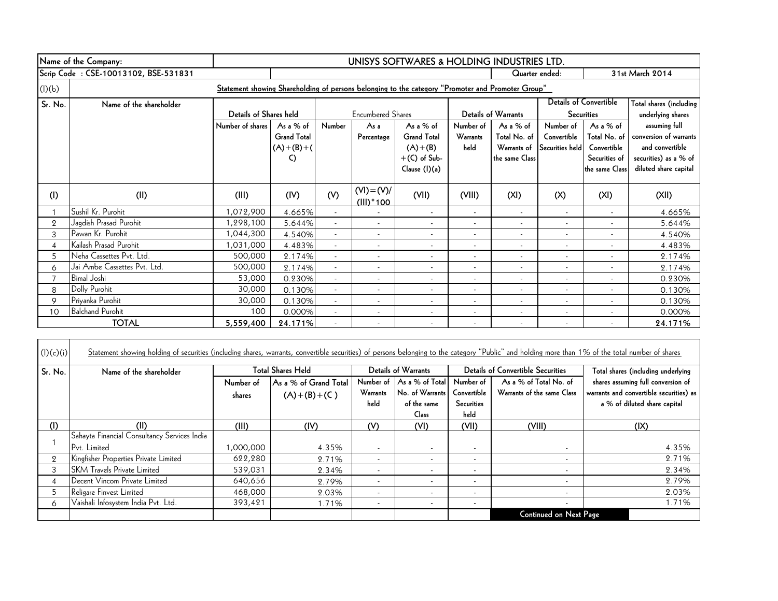|         | Name of the Company:                 | UNISYS SOFTWARES & HOLDING INDUSTRIES LTD.                                                        |                    |                          |                          |                          |                          |                          |                          |                               |                         |
|---------|--------------------------------------|---------------------------------------------------------------------------------------------------|--------------------|--------------------------|--------------------------|--------------------------|--------------------------|--------------------------|--------------------------|-------------------------------|-------------------------|
|         | Scrip Code: CSE-10013102, BSE-531831 |                                                                                                   |                    |                          |                          |                          |                          | Quarter ended:           |                          |                               | 31st March 2014         |
| (I)(b)  |                                      | Statement showing Shareholding of persons belonging to the category "Promoter and Promoter Group" |                    |                          |                          |                          |                          |                          |                          |                               |                         |
| Sr. No. | Name of the shareholder              |                                                                                                   |                    |                          |                          |                          |                          |                          |                          | <b>Details of Convertible</b> | Total shares (including |
|         |                                      | Details of Shares held                                                                            |                    |                          | <b>Encumbered Shares</b> |                          |                          | Details of Warrants      |                          | <b>Securities</b>             | underlying shares       |
|         |                                      | Number of shares                                                                                  | As a $%$ of        | Number                   | As a                     | As a % of                | Number of                | As a $%$ of              | Number of                | As a $%$ of                   | assuming full           |
|         |                                      |                                                                                                   | <b>Grand Total</b> |                          | Percentage               | <b>Grand Total</b>       | <b>Warrants</b>          | Total No. of             | Convertible              | Total No. of                  | conversion of warrants  |
|         |                                      |                                                                                                   | $(A)+(B)+(A)$      |                          |                          | $(A)+(B)$                | held                     | Warrants of              | Securities held          | Convertible                   | and convertible         |
|         |                                      |                                                                                                   | C)                 |                          |                          | $+(C)$ of Sub-           |                          | the same Class           |                          | Securities of                 | securities) as a % of   |
|         |                                      |                                                                                                   |                    |                          |                          | Clause (I)(a)            |                          |                          |                          | the same Class                | diluted share capital   |
|         |                                      |                                                                                                   |                    |                          | $(VI) = (V)/$            |                          |                          |                          |                          |                               |                         |
| (1)     | (II)                                 | (III)                                                                                             | (IV)               | (V)                      | $(III)^*$ 100            | (VII)                    | (VIII)                   | (XI)                     | (X)                      | (XI)                          | (X  )                   |
|         | Sushil Kr. Purohit                   | 1,072,900                                                                                         | 4.665%             | $\overline{\phantom{a}}$ |                          | $\overline{\phantom{a}}$ | $\overline{\phantom{a}}$ | $\blacksquare$           | $\overline{\phantom{a}}$ | $\overline{\phantom{a}}$      | 4.665%                  |
| 2       | Jagdish Prasad Purohit               | 1,298,100                                                                                         | 5.644%             |                          | $\overline{\phantom{a}}$ |                          |                          | $\overline{\phantom{a}}$ |                          |                               | 5.644%                  |
| 3       | Pawan Kr. Purohit                    | 1,044,300                                                                                         | 4.540%             |                          |                          |                          |                          | $\overline{\phantom{a}}$ |                          | $\overline{\phantom{0}}$      | 4.540%                  |
| 4       | Kailash Prasad Purohit               | 1,031,000                                                                                         | 4.483%             |                          | $\overline{\phantom{a}}$ |                          | $\overline{a}$           | $\overline{\phantom{a}}$ | $\overline{\phantom{a}}$ | $\overline{\phantom{0}}$      | 4.483%                  |
| 5       | Neha Cassettes Pvt. Ltd.             | 500,000                                                                                           | 2.174%             | $\overline{\phantom{0}}$ |                          |                          |                          | $\overline{\phantom{a}}$ |                          | ۰                             | 2.174%                  |
| 6       | Jai Ambe Cassettes Pvt. Ltd.         | 500,000                                                                                           | 2.174%             |                          |                          |                          | $\overline{a}$           | $\overline{\phantom{a}}$ |                          | ۰                             | 2.174%                  |
|         | <b>Bimal Joshi</b>                   | 53,000                                                                                            | 0.230%             |                          |                          |                          | $\overline{a}$           | $\overline{\phantom{a}}$ |                          | ۰                             | 0.230%                  |
| 8       | Dolly Purohit                        | 30,000                                                                                            | 0.130%             |                          |                          | $\overline{\phantom{a}}$ | $\overline{\phantom{a}}$ | $\overline{\phantom{a}}$ | $\overline{\phantom{a}}$ | -                             | 0.130%                  |
| 9       | Priyanka Purohit                     | 30,000                                                                                            | 0.130%             |                          |                          |                          | $\overline{\phantom{a}}$ | $\overline{\phantom{a}}$ | $\overline{\phantom{a}}$ | $\overline{\phantom{a}}$      | 0.130%                  |
| 10      | <b>Balchand Purohit</b>              | 100                                                                                               | 0.000%             |                          |                          |                          | $\overline{\phantom{a}}$ | $\overline{\phantom{a}}$ |                          | $\overline{\phantom{a}}$      | 0.000%                  |
|         | <b>TOTAL</b>                         | 5,559,400                                                                                         | 24.171%            |                          |                          |                          |                          |                          |                          |                               | 24.171%                 |

| (l)(c)(i)      | Statement showing holding of securities (including shares, warrants, convertible securities) of persons belonging to the category "Public" and holding more than 1% of the total number of shares |           |                          |                          |                            |                          |                                          |                                         |
|----------------|---------------------------------------------------------------------------------------------------------------------------------------------------------------------------------------------------|-----------|--------------------------|--------------------------|----------------------------|--------------------------|------------------------------------------|-----------------------------------------|
| Sr. No.        | Name of the shareholder                                                                                                                                                                           |           | <b>Total Shares Held</b> |                          | <b>Details of Warrants</b> |                          | <b>Details of Convertible Securities</b> | Total shares (including underlying      |
|                |                                                                                                                                                                                                   | Number of | As a % of Grand Total    |                          | Number of As a % of Total  | Number of                | As a % of Total No. of                   | shares assuming full conversion of      |
|                |                                                                                                                                                                                                   | shares    | $(A)+(B)+(C)$            | Warrants                 | No. of Warrants            | Convertible              | Warrants of the same Class               | warrants and convertible securities) as |
|                |                                                                                                                                                                                                   |           |                          | held                     | of the same                | <b>Securities</b>        |                                          | a % of diluted share capital            |
|                |                                                                                                                                                                                                   |           |                          |                          | <b>Class</b>               | held                     |                                          |                                         |
| (I)            | (II)                                                                                                                                                                                              | (III)     | (IV)                     | (V)                      | (VI)                       | (VII)                    | (VIII)                                   | (IX)                                    |
|                | Sahayta Financial Consultancy Services India                                                                                                                                                      |           |                          |                          |                            |                          |                                          |                                         |
|                | Pvt. Limited                                                                                                                                                                                      | 1,000,000 | 4.35%                    | $\overline{\phantom{a}}$ | $\overline{\phantom{a}}$   | $\overline{\phantom{a}}$ |                                          | 4.35%                                   |
| $\overline{2}$ | Kingfisher Properties Private Limited                                                                                                                                                             | 622,280   | 2.71%                    | $\overline{\phantom{a}}$ | $\overline{\phantom{a}}$   |                          |                                          | 2.71%                                   |
|                | <b>ISKM Travels Private Limited</b>                                                                                                                                                               | 539,031   | 2.34%                    | $\overline{\phantom{a}}$ | $\overline{\phantom{a}}$   | $\overline{\phantom{a}}$ | $\overline{\phantom{a}}$                 | 2.34%                                   |
|                | Decent Vincom Private Limited                                                                                                                                                                     | 640,656   | 2.79%                    | $\overline{\phantom{a}}$ | $\overline{\phantom{a}}$   | $\overline{\phantom{a}}$ | $\overline{\phantom{a}}$                 | 2.79%                                   |
|                | Religare Finvest Limited                                                                                                                                                                          | 468,000   | 2.03%                    | $\overline{\phantom{a}}$ | $\overline{\phantom{a}}$   | $\overline{\phantom{a}}$ | $\overline{\phantom{a}}$                 | 2.03%                                   |
| 6.             | Vaishali Infosystem India Pvt. Ltd.                                                                                                                                                               | 393,421   | 1.71%                    | $\overline{\phantom{a}}$ | $\overline{\phantom{a}}$   | $\overline{\phantom{a}}$ | $\overline{\phantom{0}}$                 | 1.71%                                   |
|                |                                                                                                                                                                                                   |           |                          |                          |                            |                          | <b>Continued on Next Page</b>            |                                         |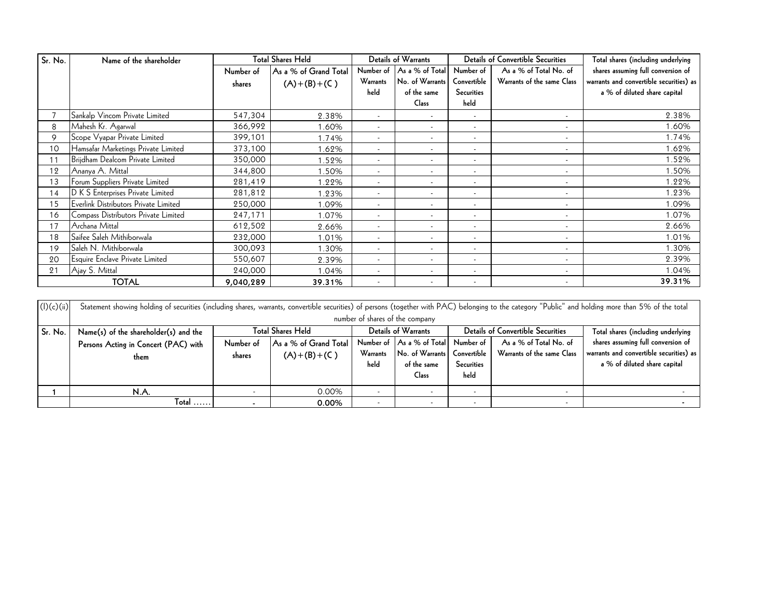| Sr. No. | Name of the shareholder               |           | <b>Total Shares Held</b> |                          | Details of Warrants      |                          | <b>Details of Convertible Securities</b> | Total shares (including underlying      |
|---------|---------------------------------------|-----------|--------------------------|--------------------------|--------------------------|--------------------------|------------------------------------------|-----------------------------------------|
|         |                                       | Number of | As a % of Grand Total    | Number of                | As a % of Total          | Number of                | As a % of Total No. of                   | shares assuming full conversion of      |
|         |                                       | shares    | $(A)+(B)+(C)$            | Warrants                 | No. of Warrants          | Convertible              | Warrants of the same Class               | warrants and convertible securities) as |
|         |                                       |           |                          | held                     | of the same              | <b>Securities</b>        |                                          | a % of diluted share capital            |
|         |                                       |           |                          |                          | Class                    | held                     |                                          |                                         |
|         | Sankalp Vincom Private Limited        | 547,304   | 2.38%                    | $\overline{\phantom{a}}$ | $\overline{\phantom{a}}$ | $\overline{\phantom{a}}$ | $\overline{\phantom{a}}$                 | 2.38%                                   |
| 8       | Mahesh Kr. Agarwal                    | 366,992   | .60%                     | $\overline{\phantom{a}}$ | $\overline{\phantom{a}}$ | $\overline{\phantom{0}}$ | $\overline{\phantom{a}}$                 | 1.60%                                   |
| 9       | Scope Vyapar Private Limited          | 399,101   | 1.74%                    | $\overline{\phantom{a}}$ | $\overline{\phantom{a}}$ | $\overline{\phantom{a}}$ | $\overline{\phantom{a}}$                 | 1.74%                                   |
| 10      | Hamsafar Marketings Private Limited   | 373,100   | .62%                     | $\overline{\phantom{a}}$ | $\overline{\phantom{a}}$ |                          | $\overline{\phantom{a}}$                 | 1.62%                                   |
| 11      | Brijdham Dealcom Private Limited      | 350,000   | .52%                     | $\overline{\phantom{a}}$ | $\overline{\phantom{a}}$ |                          |                                          | 1.52%                                   |
| 12      | Ananya A. Mittal                      | 344,800   | .50%                     | $\overline{\phantom{a}}$ | $\overline{\phantom{a}}$ |                          | $\overline{\phantom{a}}$                 | 1.50%                                   |
| 13      | Forum Suppliers Private Limited       | 281,419   | .22%                     | $\overline{\phantom{a}}$ | $\overline{\phantom{a}}$ | $\overline{\phantom{a}}$ | $\overline{\phantom{a}}$                 | 1.22%                                   |
| 14      | D K S Enterprises Private Limited     | 281,812   | .23%                     | $\blacksquare$           | $\overline{\phantom{a}}$ | $\overline{\phantom{a}}$ | $\overline{\phantom{a}}$                 | 1.23%                                   |
| 15      | Everlink Distributors Private Limited | 250,000   | .09%                     | $\overline{\phantom{a}}$ | $\overline{\phantom{a}}$ | $\overline{\phantom{a}}$ | $\overline{\phantom{a}}$                 | 1.09%                                   |
| 16      | Compass Distributors Private Limited  | 247,171   | 1.07%                    | $\overline{\phantom{a}}$ | $\overline{\phantom{a}}$ |                          | $\overline{\phantom{a}}$                 | 1.07%                                   |
| 17      | Archana Mittal                        | 612,502   | 2.66%                    | $\blacksquare$           | $\overline{\phantom{a}}$ | $\overline{\phantom{a}}$ | $\overline{\phantom{a}}$                 | 2.66%                                   |
| 18      | Saifee Saleh Mithiborwala             | 232,000   | 1.01%                    | $\overline{\phantom{a}}$ | $\overline{\phantom{a}}$ |                          | $\overline{\phantom{a}}$                 | 1.01%                                   |
| 19      | Saleh N. Mithiborwala                 | 300,093   | 1.30%                    | $\overline{\phantom{a}}$ | $\overline{\phantom{a}}$ |                          | $\overline{\phantom{a}}$                 | 1.30%                                   |
| 20      | Esquire Enclave Private Limited       | 550,607   | 2.39%                    | $\overline{\phantom{a}}$ | $\overline{\phantom{a}}$ |                          | $\overline{\phantom{a}}$                 | 2.39%                                   |
| 21      | Ajay S. Mittal                        | 240,000   | 1.04%                    | $\overline{\phantom{a}}$ | $\overline{\phantom{a}}$ |                          | $\overline{\phantom{a}}$                 | 1.04%                                   |
|         | <b>TOTAL</b>                          | 9,040,289 | 39.31%                   | $\overline{\phantom{a}}$ | $\overline{\phantom{a}}$ | $\overline{\phantom{a}}$ | $\overline{\phantom{a}}$                 | 39.31%                                  |

| 20         | Esquire Enclave Private Limited                                                                                                                                                                      | 550,607                  | 2.39%                    | $\overline{\phantom{a}}$ | $\overline{\phantom{a}}$  |                          |                                   | 2.39%                                   |  |  |
|------------|------------------------------------------------------------------------------------------------------------------------------------------------------------------------------------------------------|--------------------------|--------------------------|--------------------------|---------------------------|--------------------------|-----------------------------------|-----------------------------------------|--|--|
| 21         | Ajay S. Mittal                                                                                                                                                                                       | 240,000                  | 1.04%                    |                          |                           |                          |                                   | 1.04%                                   |  |  |
|            | <b>TOTAL</b>                                                                                                                                                                                         | 9,040,289                | 39.31%                   |                          | $\overline{\phantom{a}}$  |                          |                                   | 39.31%                                  |  |  |
|            |                                                                                                                                                                                                      |                          |                          |                          |                           |                          |                                   |                                         |  |  |
| (l)(c)(ii) | Statement showing holding of securities (including shares, warrants, convertible securities) of persons (together with PAC) belonging to the category "Public" and holding more than 5% of the total |                          |                          |                          |                           |                          |                                   |                                         |  |  |
|            | number of shares of the company                                                                                                                                                                      |                          |                          |                          |                           |                          |                                   |                                         |  |  |
| Sr. No.    | Name(s) of the shareholder(s) and the                                                                                                                                                                |                          | <b>Total Shares Held</b> | Details of Warrants      |                           |                          | Details of Convertible Securities | Total shares (including underlying      |  |  |
|            | Persons Acting in Concert (PAC) with                                                                                                                                                                 | Number of                | As a % of Grand Total    |                          | Number of As a % of Total | Number of                | As a % of Total No. of            | shares assuming full conversion of      |  |  |
|            | them                                                                                                                                                                                                 | shares                   | $(A)+(B)+(C)$            | Warrants                 | No. of Warrants           | Convertible              | Warrants of the same Class        | warrants and convertible securities) as |  |  |
|            |                                                                                                                                                                                                      |                          |                          | held                     | of the same               | Securities               |                                   | a % of diluted share capital            |  |  |
|            |                                                                                                                                                                                                      |                          |                          |                          | <b>Class</b>              | held                     |                                   |                                         |  |  |
|            | N.A.                                                                                                                                                                                                 | $\overline{\phantom{0}}$ | 0.00%                    | $\overline{\phantom{a}}$ | $\overline{\phantom{a}}$  | $\overline{\phantom{0}}$ | $\overline{\phantom{a}}$          |                                         |  |  |
|            | Total                                                                                                                                                                                                | $\blacksquare$           | 0.00%                    | $\overline{\phantom{a}}$ | $\overline{\phantom{a}}$  | $\overline{\phantom{a}}$ |                                   |                                         |  |  |